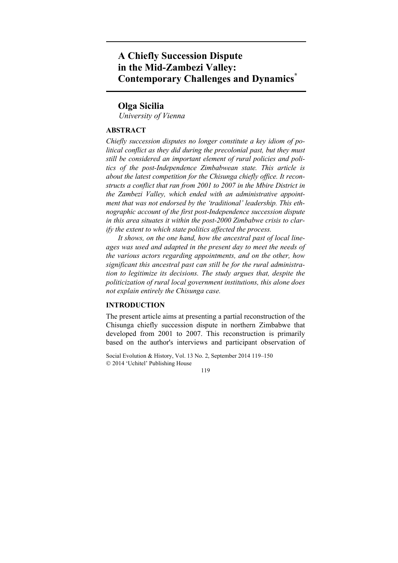# **A Chiefly Succession Dispute in the Mid-Zambezi Valley: Contemporary Challenges and Dynamics\***

## **Olga Sicilia**

*University of Vienna* 

## **ABSTRACT**

*Chiefly succession disputes no longer constitute a key idiom of political conflict as they did during the precolonial past, but they must still be considered an important element of rural policies and politics of the post-Independence Zimbabwean state. This article is about the latest competition for the Chisunga chiefly office. It reconstructs a conflict that ran from 2001 to 2007 in the Mbire District in the Zambezi Valley, which ended with an administrative appointment that was not endorsed by the 'traditional' leadership. This ethnographic account of the first post-Independence succession dispute in this area situates it within the post-2000 Zimbabwe crisis to clarify the extent to which state politics affected the process.* 

*It shows, on the one hand, how the ancestral past of local lineages was used and adapted in the present day to meet the needs of the various actors regarding appointments, and on the other, how significant this ancestral past can still be for the rural administration to legitimize its decisions. The study argues that, despite the politicization of rural local government institutions, this alone does not explain entirely the Chisunga case.* 

#### **INTRODUCTION**

The present article aims at presenting a partial reconstruction of the Chisunga chiefly succession dispute in northern Zimbabwe that developed from 2001 to 2007. This reconstruction is primarily based on the author's interviews and participant observation of

Social Evolution & History, Vol. 13 No. 2, September 2014 119–150 2014 'Uchitel' Publishing House

119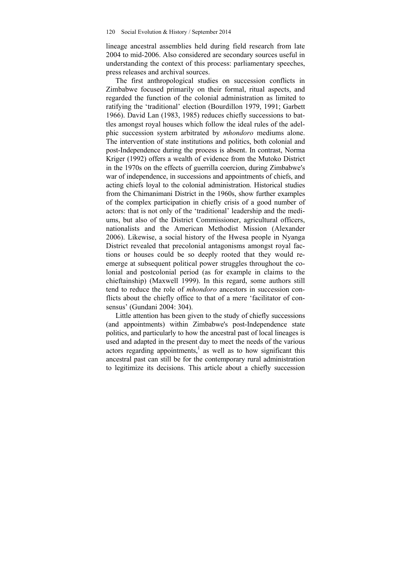lineage ancestral assemblies held during field research from late 2004 to mid-2006. Also considered are secondary sources useful in understanding the context of this process: parliamentary speeches, press releases and archival sources.

The first anthropological studies on succession conflicts in Zimbabwe focused primarily on their formal, ritual aspects, and regarded the function of the colonial administration as limited to ratifying the 'traditional' election (Bourdillon 1979, 1991; Garbett 1966). David Lan (1983, 1985) reduces chiefly successions to battles amongst royal houses which follow the ideal rules of the adelphic succession system arbitrated by *mhondoro* mediums alone. The intervention of state institutions and politics, both colonial and post-Independence during the process is absent. In contrast, Norma Kriger (1992) offers a wealth of evidence from the Mutoko District in the 1970s on the effects of guerrilla coercion, during Zimbabwe′s war of independence, in successions and appointments of chiefs, and acting chiefs loyal to the colonial administration. Historical studies from the Chimanimani District in the 1960s, show further examples of the complex participation in chiefly crisis of a good number of actors: that is not only of the 'traditional' leadership and the mediums, but also of the District Commissioner, agricultural officers, nationalists and the American Methodist Mission (Alexander 2006). Likewise, a social history of the Hwesa people in Nyanga District revealed that precolonial antagonisms amongst royal factions or houses could be so deeply rooted that they would reemerge at subsequent political power struggles throughout the colonial and postcolonial period (as for example in claims to the chieftainship) (Maxwell 1999). In this regard, some authors still tend to reduce the role of *mhondoro* ancestors in succession conflicts about the chiefly office to that of a mere 'facilitator of consensus' (Gundani 2004: 304).

Little attention has been given to the study of chiefly successions (and appointments) within Zimbabwe's post-Independence state politics, and particularly to how the ancestral past of local lineages is used and adapted in the present day to meet the needs of the various actors regarding appointments, $\frac{1}{2}$  as well as to how significant this ancestral past can still be for the contemporary rural administration to legitimize its decisions. This article about a chiefly succession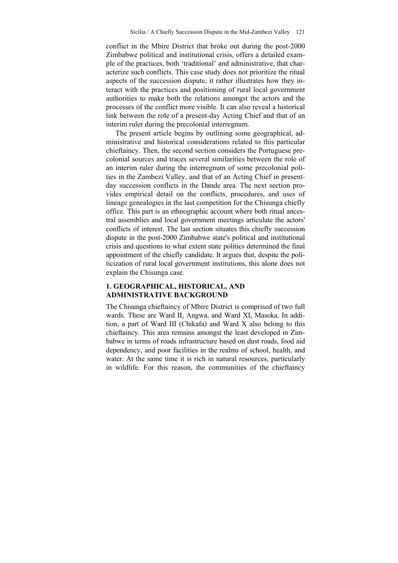conflict in the Mbire District that broke out during the post-2000 Zimbabwe political and institutional crisis, offers a detailed example of the practices, both 'traditional' and administrative, that characterize such conflicts. This case study does not prioritize the ritual aspects of the succession dispute, it rather illustrates how they interact with the practices and positioning of rural local government authorities to make both the relations amongst the actors and the processes of the conflict more visible. It can also reveal a historical link between the role of a present-day Acting Chief and that of an interim ruler during the precolonial interregnum.

The present article begins by outlining some geographical, administrative and historical considerations related to this particular chieftaincy. Then, the second section considers the Portuguese precolonial sources and traces several similarities between the role of an interim ruler during the interregnum of some precolonial polities in the Zambezi Valley, and that of an Acting Chief in presentday succession conflicts in the Dande area. The next section provides empirical detail on the conflicts, procedures, and uses of lineage genealogies in the last competition for the Chisunga chiefly office. This part is an ethnographic account where both ritual ancestral assemblies and local government meetings articulate the actors' conflicts of interest. The last section situates this chiefly succession dispute in the post-2000 Zimbabwe state's political and institutional crisis and questions to what extent state politics determined the final appointment of the chiefly candidate. It argues that, despite the politicization of rural local government institutions, this alone does not explain the Chisunga case.

## **1. GEOGRAPHICAL, HISTORICAL, AND ADMINISTRATIVE BACKGROUND**

The Chisunga chieftaincy of Mbire District is comprised of two full wards. These are Ward II, Angwa, and Ward XI, Masoka. In addition, a part of Ward III (Chikafa) and Ward X also belong to this chieftaincy. This area remains amongst the least developed in Zimbabwe in terms of roads infrastructure based on dust roads, food aid dependency, and poor facilities in the realms of school, health, and water. At the same time it is rich in natural resources, particularly in wildlife. For this reason, the communities of the chieftaincy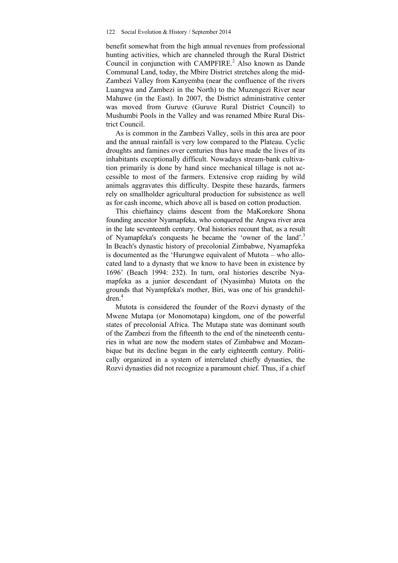benefit somewhat from the high annual revenues from professional hunting activities, which are channeled through the Rural District Council in conjunction with CAMPFIRE.<sup>2</sup> Also known as Dande Communal Land, today, the Mbire District stretches along the mid-Zambezi Valley from Kanyemba (near the confluence of the rivers Luangwa and Zambezi in the North) to the Muzengezi River near Mahuwe (in the East). In 2007, the District administrative center was moved from Guruve (Guruve Rural District Council) to Mushumbi Pools in the Valley and was renamed Mbire Rural District Council.

As is common in the Zambezi Valley, soils in this area are poor and the annual rainfall is very low compared to the Plateau. Cyclic droughts and famines over centuries thus have made the lives of its inhabitants exceptionally difficult. Nowadays stream-bank cultivation primarily is done by hand since mechanical tillage is not accessible to most of the farmers. Extensive crop raiding by wild animals aggravates this difficulty. Despite these hazards, farmers rely on smallholder agricultural production for subsistence as well as for cash income, which above all is based on cotton production.

This chieftaincy claims descent from the MaKorekore Shona founding ancestor Nyamapfeka, who conquered the Angwa river area in the late seventeenth century. Oral histories recount that, as a result of Nyamapfeka's conquests he became the 'owner of the land'.3 In Beach's dynastic history of precolonial Zimbabwe, Nyamapfeka is documented as the 'Hurungwe equivalent of Mutota – who allocated land to a dynasty that we know to have been in existence by 1696' (Beach 1994: 232). In turn, oral histories describe Nyamapfeka as a junior descendant of (Nyasimba) Mutota on the grounds that Nyampfeka's mother, Biri, was one of his grandchil $dren.<sup>4</sup>$ 

Mutota is considered the founder of the Rozvi dynasty of the Mwene Mutapa (or Monomotapa) kingdom, one of the powerful states of precolonial Africa. The Mutapa state was dominant south of the Zambezi from the fifteenth to the end of the nineteenth centuries in what are now the modern states of Zimbabwe and Mozambique but its decline began in the early eighteenth century. Politically organized in a system of interrelated chiefly dynasties, the Rozvi dynasties did not recognize a paramount chief. Thus, if a chief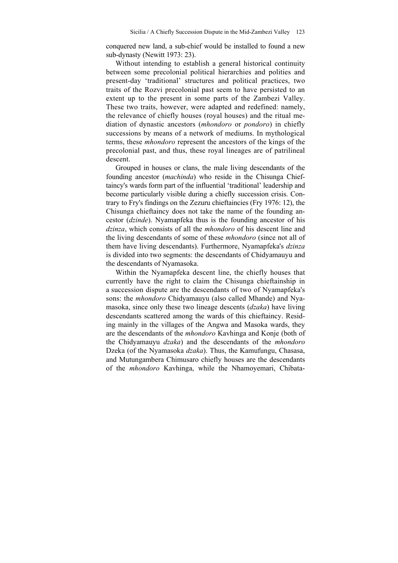conquered new land, a sub-chief would be installed to found a new sub-dynasty (Newitt 1973: 23).

Without intending to establish a general historical continuity between some precolonial political hierarchies and polities and present-day 'traditional' structures and political practices, two traits of the Rozvi precolonial past seem to have persisted to an extent up to the present in some parts of the Zambezi Valley. These two traits, however, were adapted and redefined: namely, the relevance of chiefly houses (royal houses) and the ritual mediation of dynastic ancestors (*mhondoro* or *pondoro*) in chiefly successions by means of a network of mediums. In mythological terms, these *mhondoro* represent the ancestors of the kings of the precolonial past, and thus, these royal lineages are of patrilineal descent.

Grouped in houses or clans, the male living descendants of the founding ancestor (*machinda*) who reside in the Chisunga Chieftaincy's wards form part of the influential 'traditional' leadership and become particularly visible during a chiefly succession crisis. Contrary to Fry's findings on the Zezuru chieftaincies (Fry 1976: 12), the Chisunga chieftaincy does not take the name of the founding ancestor (*dzinde*). Nyamapfeka thus is the founding ancestor of his *dzinza*, which consists of all the *mhondoro* of his descent line and the living descendants of some of these *mhondoro* (since not all of them have living descendants). Furthermore, Nyamapfeka's *dzinza* is divided into two segments: the descendants of Chidyamauyu and the descendants of Nyamasoka.

Within the Nyamapfeka descent line, the chiefly houses that currently have the right to claim the Chisunga chieftainship in a succession dispute are the descendants of two of Nyamapfeka's sons: the *mhondoro* Chidyamauyu (also called Mhande) and Nyamasoka, since only these two lineage descents (*dzaka*) have living descendants scattered among the wards of this chieftaincy. Residing mainly in the villages of the Angwa and Masoka wards, they are the descendants of the *mhondoro* Kavhinga and Konje (both of the Chidyamauyu *dzaka*) and the descendants of the *mhondoro* Dzeka (of the Nyamasoka *dzaka*). Thus, the Kamufungu, Chasasa, and Mutungambera Chimusaro chiefly houses are the descendants of the *mhondoro* Kavhinga, while the Nhamoyemari, Chibata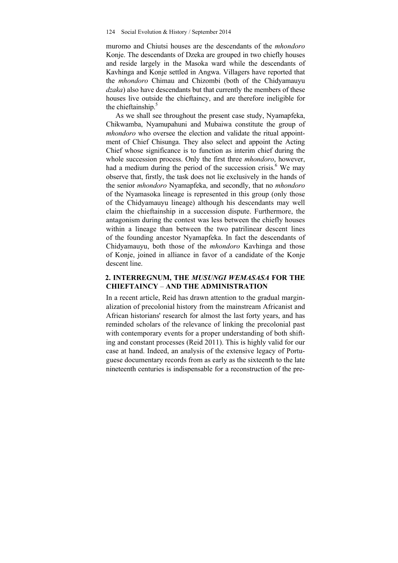muromo and Chiutsi houses are the descendants of the *mhondoro* Konje. The descendants of Dzeka are grouped in two chiefly houses and reside largely in the Masoka ward while the descendants of Kavhinga and Konje settled in Angwa. Villagers have reported that the *mhondoro* Chimau and Chizombi (both of the Chidyamauyu *dzaka*) also have descendants but that currently the members of these houses live outside the chieftaincy, and are therefore ineligible for the chieftainship.<sup>5</sup>

As we shall see throughout the present case study, Nyamapfeka, Chikwamba, Nyamupahuni and Mubaiwa constitute the group of *mhondoro* who oversee the election and validate the ritual appointment of Chief Chisunga. They also select and appoint the Acting Chief whose significance is to function as interim chief during the whole succession process. Only the first three *mhondoro*, however, had a medium during the period of the succession crisis.<sup>6</sup> We may observe that, firstly, the task does not lie exclusively in the hands of the senior *mhondoro* Nyamapfeka, and secondly, that no *mhondoro* of the Nyamasoka lineage is represented in this group (only those of the Chidyamauyu lineage) although his descendants may well claim the chieftainship in a succession dispute. Furthermore, the antagonism during the contest was less between the chiefly houses within a lineage than between the two patrilinear descent lines of the founding ancestor Nyamapfeka. In fact the descendants of Chidyamauyu, both those of the *mhondoro* Kavhinga and those of Konje, joined in alliance in favor of a candidate of the Konje descent line.

#### **2. INTERREGNUM, THE** *MUSUNGI WEMASASA* **FOR THE CHIEFTAINCY** – **AND THE ADMINISTRATION**

In a recent article, Reid has drawn attention to the gradual marginalization of precolonial history from the mainstream Africanist and African historians' research for almost the last forty years, and has reminded scholars of the relevance of linking the precolonial past with contemporary events for a proper understanding of both shifting and constant processes (Reid 2011). This is highly valid for our case at hand. Indeed, an analysis of the extensive legacy of Portuguese documentary records from as early as the sixteenth to the late nineteenth centuries is indispensable for a reconstruction of the pre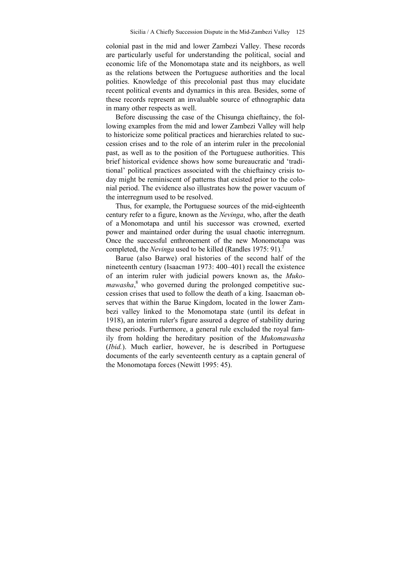colonial past in the mid and lower Zambezi Valley. These records are particularly useful for understanding the political, social and economic life of the Monomotapa state and its neighbors, as well as the relations between the Portuguese authorities and the local polities. Knowledge of this precolonial past thus may elucidate recent political events and dynamics in this area. Besides, some of these records represent an invaluable source of ethnographic data in many other respects as well.

Before discussing the case of the Chisunga chieftaincy, the following examples from the mid and lower Zambezi Valley will help to historicize some political practices and hierarchies related to succession crises and to the role of an interim ruler in the precolonial past, as well as to the position of the Portuguese authorities. This brief historical evidence shows how some bureaucratic and 'traditional' political practices associated with the chieftaincy crisis today might be reminiscent of patterns that existed prior to the colonial period. The evidence also illustrates how the power vacuum of the interregnum used to be resolved.

Thus, for example, the Portuguese sources of the mid-eighteenth century refer to a figure, known as the *Nevinga*, who, after the death of a Monomotapa and until his successor was crowned, exerted power and maintained order during the usual chaotic interregnum. Once the successful enthronement of the new Monomotapa was completed, the *Nevinga* used to be killed (Randles 1975: 91).<sup>7</sup>

Barue (also Barwe) oral histories of the second half of the nineteenth century (Isaacman 1973: 400–401) recall the existence of an interim ruler with judicial powers known as, the *Muko*mawasha,<sup>8</sup> who governed during the prolonged competitive succession crises that used to follow the death of a king. Isaacman observes that within the Barue Kingdom, located in the lower Zambezi valley linked to the Monomotapa state (until its defeat in 1918), an interim ruler's figure assured a degree of stability during these periods. Furthermore, a general rule excluded the royal family from holding the hereditary position of the *Mukomawasha* (*Ibid.*). Much earlier, however, he is described in Portuguese documents of the early seventeenth century as a captain general of the Monomotapa forces (Newitt 1995: 45).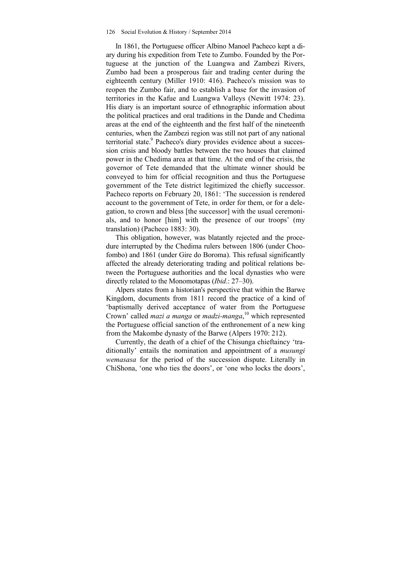In 1861, the Portuguese officer Albino Manoel Pacheco kept a diary during his expedition from Tete to Zumbo. Founded by the Portuguese at the junction of the Luangwa and Zambezi Rivers, Zumbo had been a prosperous fair and trading center during the eighteenth century (Miller 1910: 416). Pacheco's mission was to reopen the Zumbo fair, and to establish a base for the invasion of territories in the Kafue and Luangwa Valleys (Newitt 1974: 23). His diary is an important source of ethnographic information about the political practices and oral traditions in the Dande and Chedima areas at the end of the eighteenth and the first half of the nineteenth centuries, when the Zambezi region was still not part of any national territorial state.<sup>9</sup> Pacheco's diary provides evidence about a succession crisis and bloody battles between the two houses that claimed power in the Chedima area at that time. At the end of the crisis, the governor of Tete demanded that the ultimate winner should be conveyed to him for official recognition and thus the Portuguese government of the Tete district legitimized the chiefly successor. Pacheco reports on February 20, 1861: 'The succession is rendered account to the government of Tete, in order for them, or for a delegation, to crown and bless [the successor] with the usual ceremonials, and to honor [him] with the presence of our troops' (my translation) (Pacheco 1883: 30).

This obligation, however, was blatantly rejected and the procedure interrupted by the Chedima rulers between 1806 (under Choofombo) and 1861 (under Gire do Boroma). This refusal significantly affected the already deteriorating trading and political relations between the Portuguese authorities and the local dynasties who were directly related to the Monomotapas (*Ibid*.: 27–30).

Alpers states from a historian's perspective that within the Barwe Kingdom, documents from 1811 record the practice of a kind of 'baptismally derived acceptance of water from the Portuguese Crown' called *mazi a manga* or *madzi-manga*, 10 which represented the Portuguese official sanction of the enthronement of a new king from the Makombe dynasty of the Barwe (Alpers 1970: 212).

Currently, the death of a chief of the Chisunga chieftaincy 'traditionally' entails the nomination and appointment of a *musungi wemasasa* for the period of the succession dispute. Literally in ChiShona, 'one who ties the doors', or 'one who locks the doors',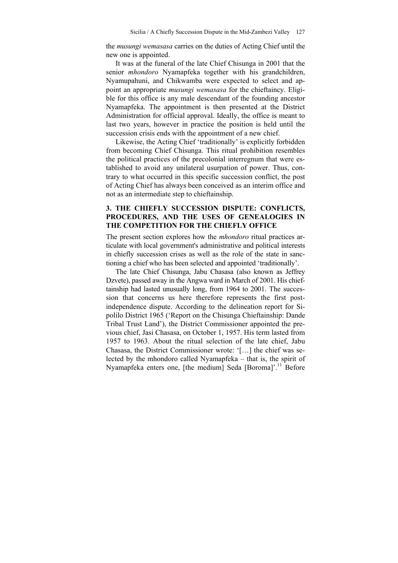the *musungi wemasasa* carries on the duties of Acting Chief until the new one is appointed.

It was at the funeral of the late Chief Chisunga in 2001 that the senior *mhondoro* Nyamapfeka together with his grandchildren, Nyamupahuni, and Chikwamba were expected to select and appoint an appropriate *musungi wemasasa* for the chieftaincy. Eligible for this office is any male descendant of the founding ancestor Nyamapfeka. The appointment is then presented at the District Administration for official approval. Ideally, the office is meant to last two years, however in practice the position is held until the succession crisis ends with the appointment of a new chief.

Likewise, the Acting Chief 'traditionally' is explicitly forbidden from becoming Chief Chisunga. This ritual prohibition resembles the political practices of the precolonial interregnum that were established to avoid any unilateral usurpation of power. Thus, contrary to what occurred in this specific succession conflict, the post of Acting Chief has always been conceived as an interim office and not as an intermediate step to chieftainship.

## **3. THE CHIEFLY SUCCESSION DISPUTE: CONFLICTS, PROCEDURES, AND THE USES OF GENEALOGIES IN THE COMPETITION FOR THE CHIEFLY OFFICE**

The present section explores how the *mhondoro* ritual practices articulate with local government's administrative and political interests in chiefly succession crises as well as the role of the state in sanctioning a chief who has been selected and appointed 'traditionally'.

The late Chief Chisunga, Jabu Chasasa (also known as Jeffrey Dzvete), passed away in the Angwa ward in March of 2001. His chieftainship had lasted unusually long, from 1964 to 2001. The succession that concerns us here therefore represents the first postindependence dispute. According to the delineation report for Sipolilo District 1965 ('Report on the Chisunga Chieftainship: Dande Tribal Trust Land'), the District Commissioner appointed the previous chief, Jasi Chasasa, on October 1, 1957. His term lasted from 1957 to 1963. About the ritual selection of the late chief, Jabu Chasasa, the District Commissioner wrote: '[…] the chief was selected by the mhondoro called Nyamapfeka – that is, the spirit of Nyamapfeka enters one, [the medium] Seda [Boroma]'.<sup>11</sup> Before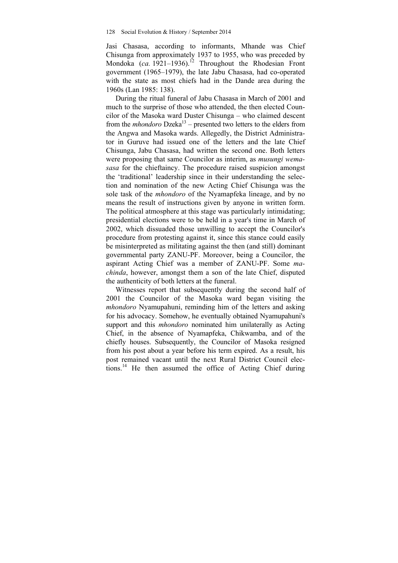Jasi Chasasa, according to informants, Mhande was Chief Chisunga from approximately 1937 to 1955, who was preceded by Mondoka (ca. 1921–1936).<sup>12</sup> Throughout the Rhodesian Front government (1965–1979), the late Jabu Chasasa, had co-operated with the state as most chiefs had in the Dande area during the 1960s (Lan 1985: 138).

During the ritual funeral of Jabu Chasasa in March of 2001 and much to the surprise of those who attended, the then elected Councilor of the Masoka ward Duster Chisunga – who claimed descent from the *mhondoro* Dzeka<sup>13</sup> – presented two letters to the elders from the Angwa and Masoka wards. Allegedly, the District Administrator in Guruve had issued one of the letters and the late Chief Chisunga, Jabu Chasasa, had written the second one. Both letters were proposing that same Councilor as interim, as *musungi wemasasa* for the chieftaincy. The procedure raised suspicion amongst the 'traditional' leadership since in their understanding the selection and nomination of the new Acting Chief Chisunga was the sole task of the *mhondoro* of the Nyamapfeka lineage, and by no means the result of instructions given by anyone in written form. The political atmosphere at this stage was particularly intimidating; presidential elections were to be held in a year's time in March of 2002, which dissuaded those unwilling to accept the Councilor's procedure from protesting against it, since this stance could easily be misinterpreted as militating against the then (and still) dominant governmental party ZANU-PF. Moreover, being a Councilor, the aspirant Acting Chief was a member of ZANU-PF. Some *machinda*, however, amongst them a son of the late Chief, disputed the authenticity of both letters at the funeral.

Witnesses report that subsequently during the second half of 2001 the Councilor of the Masoka ward began visiting the *mhondoro* Nyamupahuni, reminding him of the letters and asking for his advocacy. Somehow, he eventually obtained Nyamupahuni's support and this *mhondoro* nominated him unilaterally as Acting Chief, in the absence of Nyamapfeka, Chikwamba, and of the chiefly houses. Subsequently, the Councilor of Masoka resigned from his post about a year before his term expired. As a result, his post remained vacant until the next Rural District Council elections.14 He then assumed the office of Acting Chief during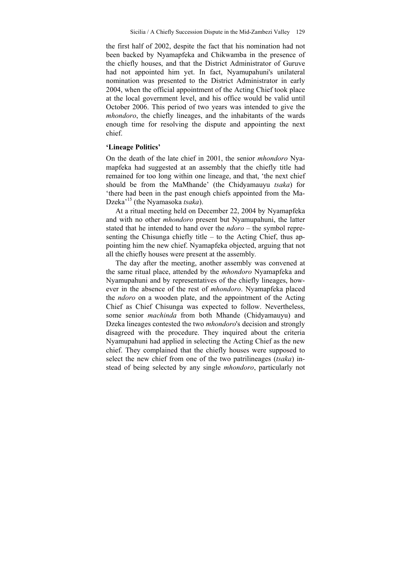the first half of 2002, despite the fact that his nomination had not been backed by Nyamapfeka and Chikwamba in the presence of the chiefly houses, and that the District Administrator of Guruve had not appointed him yet. In fact, Nyamupahuni's unilateral nomination was presented to the District Administrator in early 2004, when the official appointment of the Acting Chief took place at the local government level, and his office would be valid until October 2006. This period of two years was intended to give the *mhondoro*, the chiefly lineages, and the inhabitants of the wards enough time for resolving the dispute and appointing the next chief.

#### **'Lineage Politics'**

On the death of the late chief in 2001, the senior *mhondoro* Nyamapfeka had suggested at an assembly that the chiefly title had remained for too long within one lineage, and that, 'the next chief should be from the MaMhande' (the Chidyamauyu *tsaka*) for 'there had been in the past enough chiefs appointed from the Ma-Dzeka'15 (the Nyamasoka *tsaka*).

At a ritual meeting held on December 22, 2004 by Nyamapfeka and with no other *mhondoro* present but Nyamupahuni, the latter stated that he intended to hand over the *ndoro* – the symbol representing the Chisunga chiefly title – to the Acting Chief, thus appointing him the new chief. Nyamapfeka objected, arguing that not all the chiefly houses were present at the assembly*.*

The day after the meeting, another assembly was convened at the same ritual place, attended by the *mhondoro* Nyamapfeka and Nyamupahuni and by representatives of the chiefly lineages, however in the absence of the rest of *mhondoro*. Nyamapfeka placed the *ndoro* on a wooden plate, and the appointment of the Acting Chief as Chief Chisunga was expected to follow. Nevertheless, some senior *machinda* from both Mhande (Chidyamauyu) and Dzeka lineages contested the two *mhondoro*'s decision and strongly disagreed with the procedure. They inquired about the criteria Nyamupahuni had applied in selecting the Acting Chief as the new chief. They complained that the chiefly houses were supposed to select the new chief from one of the two patrilineages (*tsaka*) instead of being selected by any single *mhondoro*, particularly not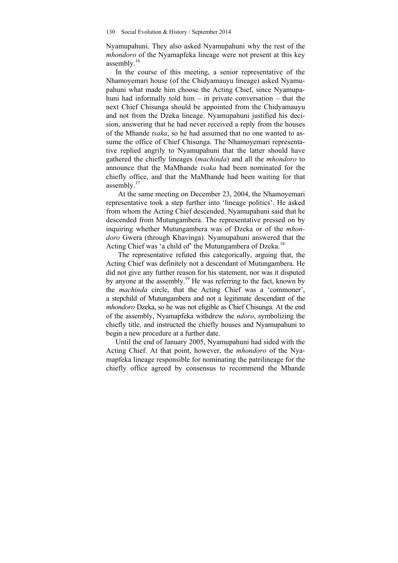Nyamupahuni. They also asked Nyamupahuni why the rest of the *mhondoro* of the Nyamapfeka lineage were not present at this key assembly.<sup>16</sup>

In the course of this meeting, a senior representative of the Nhamoyemari house (of the Chidyamauyu lineage) asked Nyamupahuni what made him choose the Acting Chief, since Nyamupahuni had informally told him – in private conversation – that the next Chief Chisunga should be appointed from the Chidyamauyu and not from the Dzeka lineage. Nyamupahuni justified his decision, answering that he had never received a reply from the houses of the Mhande *tsaka*, so he had assumed that no one wanted to assume the office of Chief Chisunga. The Nhamoyemari representative replied angrily to Nyamupahuni that the latter should have gathered the chiefly lineages (*machinda*) and all the *mhondoro* to announce that the MaMhande *tsaka* had been nominated for the chiefly office, and that the MaMhande had been waiting for that assembly. $17$ 

At the same meeting on December 23, 2004, the Nhamoyemari representative took a step further into 'lineage politics'. He asked from whom the Acting Chief descended. Nyamupahuni said that he descended from Mutungambera. The representative pressed on by inquiring whether Mutungambera was of Dzeka or of the *mhondoro* Gwera (through Khavinga). Nyamupahuni answered that the Acting Chief was 'a child of' the Mutungambera of Dzeka.<sup>18</sup>

The representative refuted this categorically, arguing that, the Acting Chief was definitely not a descendant of Mutungambera. He did not give any further reason for his statement, nor was it disputed by anyone at the assembly.<sup>19</sup> He was referring to the fact, known by the *machinda* circle, that the Acting Chief was a 'commoner', a stepchild of Mutungambera and not a legitimate descendant of the *mhondoro* Dzeka, so he was not eligible as Chief Chisunga. At the end of the assembly, Nyamapfeka withdrew the *ndoro*, symbolizing the chiefly title, and instructed the chiefly houses and Nyamupahuni to begin a new procedure at a further date.

Until the end of January 2005, Nyamupahuni had sided with the Acting Chief. At that point, however, the *mhondoro* of the Nyamapfeka lineage responsible for nominating the patrilineage for the chiefly office agreed by consensus to recommend the Mhande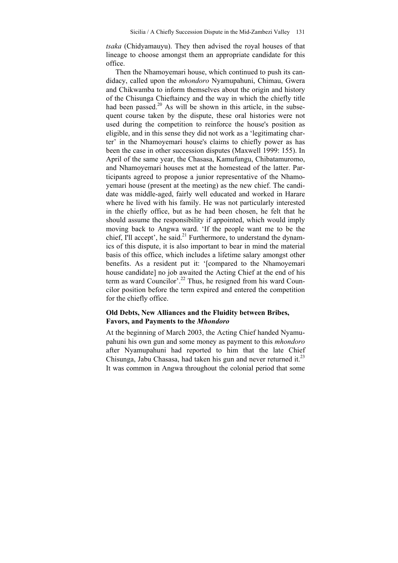*tsaka* (Chidyamauyu). They then advised the royal houses of that lineage to choose amongst them an appropriate candidate for this office.

Then the Nhamoyemari house, which continued to push its candidacy, called upon the *mhondoro* Nyamupahuni, Chimau, Gwera and Chikwamba to inform themselves about the origin and history of the Chisunga Chieftaincy and the way in which the chiefly title had been passed. $20$  As will be shown in this article, in the subsequent course taken by the dispute, these oral histories were not used during the competition to reinforce the house's position as eligible, and in this sense they did not work as a 'legitimating charter' in the Nhamoyemari house's claims to chiefly power as has been the case in other succession disputes (Maxwell 1999: 155). In April of the same year, the Chasasa, Kamufungu, Chibatamuromo, and Nhamoyemari houses met at the homestead of the latter. Participants agreed to propose a junior representative of the Nhamoyemari house (present at the meeting) as the new chief. The candidate was middle-aged, fairly well educated and worked in Harare where he lived with his family. He was not particularly interested in the chiefly office, but as he had been chosen, he felt that he should assume the responsibility if appointed, which would imply moving back to Angwa ward. 'If the people want me to be the chief, I'll accept', he said.<sup>21</sup> Furthermore, to understand the dynamics of this dispute, it is also important to bear in mind the material basis of this office, which includes a lifetime salary amongst other benefits. As a resident put it: '[compared to the Nhamoyemari house candidate] no job awaited the Acting Chief at the end of his term as ward Councilor'.<sup>22</sup> Thus, he resigned from his ward Councilor position before the term expired and entered the competition for the chiefly office.

## **Old Debts, New Alliances and the Fluidity between Bribes, Favors, and Payments to the** *Mhondoro*

At the beginning of March 2003, the Acting Chief handed Nyamupahuni his own gun and some money as payment to this *mhondoro* after Nyamupahuni had reported to him that the late Chief Chisunga, Jabu Chasasa, had taken his gun and never returned it.<sup>23</sup> It was common in Angwa throughout the colonial period that some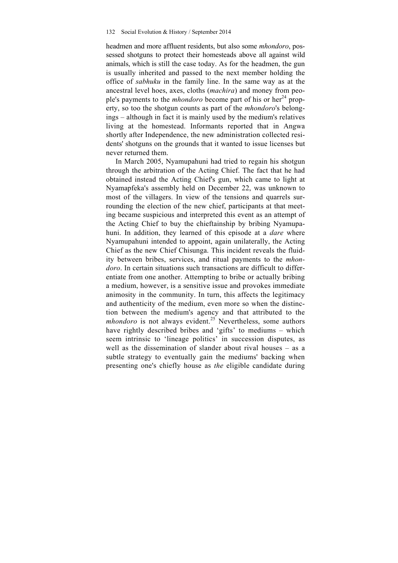headmen and more affluent residents, but also some *mhondoro*, possessed shotguns to protect their homesteads above all against wild animals, which is still the case today. As for the headmen, the gun is usually inherited and passed to the next member holding the office of *sabhuku* in the family line. In the same way as at the ancestral level hoes, axes, cloths (*machira*) and money from people's payments to the *mhondoro* become part of his or her<sup>24</sup> property, so too the shotgun counts as part of the *mhondoro*'s belongings – although in fact it is mainly used by the medium's relatives living at the homestead. Informants reported that in Angwa shortly after Independence, the new administration collected residents' shotguns on the grounds that it wanted to issue licenses but never returned them.

In March 2005, Nyamupahuni had tried to regain his shotgun through the arbitration of the Acting Chief. The fact that he had obtained instead the Acting Chief's gun, which came to light at Nyamapfeka's assembly held on December 22, was unknown to most of the villagers. In view of the tensions and quarrels surrounding the election of the new chief, participants at that meeting became suspicious and interpreted this event as an attempt of the Acting Chief to buy the chieftainship by bribing Nyamupahuni. In addition, they learned of this episode at a *dare* where Nyamupahuni intended to appoint, again unilaterally, the Acting Chief as the new Chief Chisunga. This incident reveals the fluidity between bribes, services, and ritual payments to the *mhondoro*. In certain situations such transactions are difficult to differentiate from one another. Attempting to bribe or actually bribing a medium, however, is a sensitive issue and provokes immediate animosity in the community. In turn, this affects the legitimacy and authenticity of the medium, even more so when the distinction between the medium's agency and that attributed to the *mhondoro* is not always evident.<sup>25</sup> Nevertheless, some authors have rightly described bribes and 'gifts' to mediums – which seem intrinsic to 'lineage politics' in succession disputes, as well as the dissemination of slander about rival houses – as a subtle strategy to eventually gain the mediums' backing when presenting one's chiefly house as *the* eligible candidate during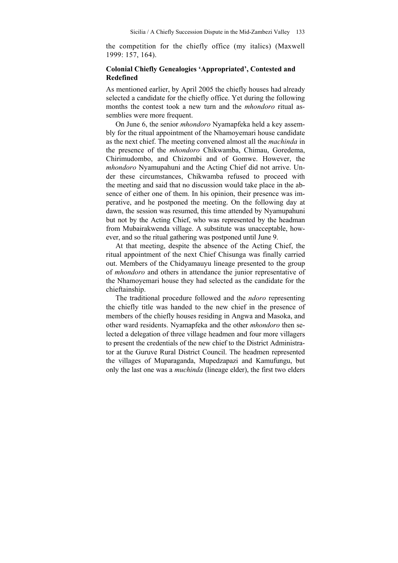the competition for the chiefly office (my italics) (Maxwell 1999: 157, 164).

## **Colonial Chiefly Genealogies 'Appropriated', Contested and Redefined**

As mentioned earlier, by April 2005 the chiefly houses had already selected a candidate for the chiefly office. Yet during the following months the contest took a new turn and the *mhondoro* ritual assemblies were more frequent.

On June 6, the senior *mhondoro* Nyamapfeka held a key assembly for the ritual appointment of the Nhamoyemari house candidate as the next chief. The meeting convened almost all the *machinda* in the presence of the *mhondoro* Chikwamba, Chimau, Goredema, Chirimudombo, and Chizombi and of Gomwe. However, the *mhondoro* Nyamupahuni and the Acting Chief did not arrive. Under these circumstances, Chikwamba refused to proceed with the meeting and said that no discussion would take place in the absence of either one of them. In his opinion, their presence was imperative, and he postponed the meeting. On the following day at dawn, the session was resumed, this time attended by Nyamupahuni but not by the Acting Chief, who was represented by the headman from Mubairakwenda village. A substitute was unacceptable, however, and so the ritual gathering was postponed until June 9.

At that meeting, despite the absence of the Acting Chief, the ritual appointment of the next Chief Chisunga was finally carried out. Members of the Chidyamauyu lineage presented to the group of *mhondoro* and others in attendance the junior representative of the Nhamoyemari house they had selected as the candidate for the chieftainship.

The traditional procedure followed and the *ndoro* representing the chiefly title was handed to the new chief in the presence of members of the chiefly houses residing in Angwa and Masoka, and other ward residents. Nyamapfeka and the other *mhondoro* then selected a delegation of three village headmen and four more villagers to present the credentials of the new chief to the District Administrator at the Guruve Rural District Council. The headmen represented the villages of Muparaganda, Mupedzapazi and Kamufungu, but only the last one was a *muchinda* (lineage elder), the first two elders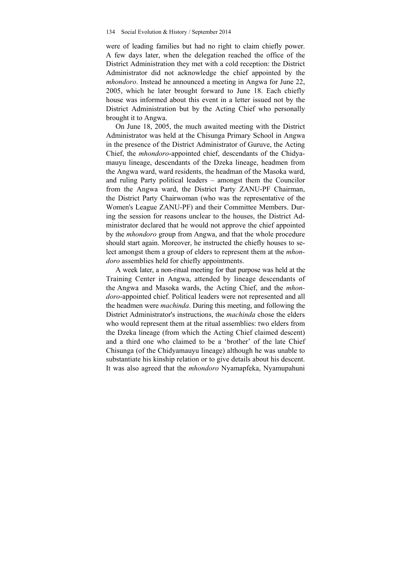were of leading families but had no right to claim chiefly power. A few days later, when the delegation reached the office of the District Administration they met with a cold reception: the District Administrator did not acknowledge the chief appointed by the *mhondoro*. Instead he announced a meeting in Angwa for June 22, 2005, which he later brought forward to June 18. Each chiefly house was informed about this event in a letter issued not by the District Administration but by the Acting Chief who personally brought it to Angwa.

On June 18, 2005, the much awaited meeting with the District Administrator was held at the Chisunga Primary School in Angwa in the presence of the District Administrator of Guruve, the Acting Chief, the *mhondoro*-appointed chief, descendants of the Chidyamauyu lineage, descendants of the Dzeka lineage, headmen from the Angwa ward, ward residents, the headman of the Masoka ward, and ruling Party political leaders – amongst them the Councilor from the Angwa ward, the District Party ZANU-PF Chairman, the District Party Chairwoman (who was the representative of the Women's League ZANU-PF) and their Committee Members. During the session for reasons unclear to the houses, the District Administrator declared that he would not approve the chief appointed by the *mhondoro* group from Angwa, and that the whole procedure should start again. Moreover, he instructed the chiefly houses to select amongst them a group of elders to represent them at the *mhondoro* assemblies held for chiefly appointments.

A week later, a non-ritual meeting for that purpose was held at the Training Center in Angwa, attended by lineage descendants of the Angwa and Masoka wards, the Acting Chief, and the *mhondoro*-appointed chief. Political leaders were not represented and all the headmen were *machinda*. During this meeting, and following the District Administrator's instructions, the *machinda* chose the elders who would represent them at the ritual assemblies: two elders from the Dzeka lineage (from which the Acting Chief claimed descent) and a third one who claimed to be a 'brother' of the late Chief Chisunga (of the Chidyamauyu lineage) although he was unable to substantiate his kinship relation or to give details about his descent. It was also agreed that the *mhondoro* Nyamapfeka, Nyamupahuni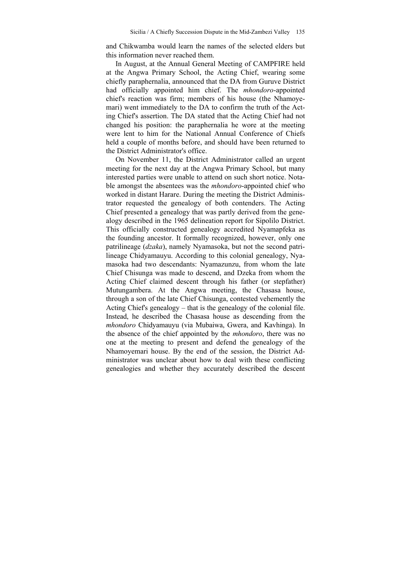and Chikwamba would learn the names of the selected elders but this information never reached them.

In August, at the Annual General Meeting of CAMPFIRE held at the Angwa Primary School, the Acting Chief, wearing some chiefly paraphernalia, announced that the DA from Guruve District had officially appointed him chief. The *mhondoro*-appointed chief's reaction was firm; members of his house (the Nhamoyemari) went immediately to the DA to confirm the truth of the Acting Chief's assertion. The DA stated that the Acting Chief had not changed his position: the paraphernalia he wore at the meeting were lent to him for the National Annual Conference of Chiefs held a couple of months before, and should have been returned to the District Administrator's office.

On November 11, the District Administrator called an urgent meeting for the next day at the Angwa Primary School, but many interested parties were unable to attend on such short notice. Notable amongst the absentees was the *mhondoro*-appointed chief who worked in distant Harare. During the meeting the District Administrator requested the genealogy of both contenders. The Acting Chief presented a genealogy that was partly derived from the genealogy described in the 1965 delineation report for Sipolilo District. This officially constructed genealogy accredited Nyamapfeka as the founding ancestor. It formally recognized, however, only one patrilineage (*dzaka*), namely Nyamasoka, but not the second patrilineage Chidyamauyu. According to this colonial genealogy, Nyamasoka had two descendants: Nyamazunzu, from whom the late Chief Chisunga was made to descend, and Dzeka from whom the Acting Chief claimed descent through his father (or stepfather) Mutungambera. At the Angwa meeting, the Chasasa house, through a son of the late Chief Chisunga, contested vehemently the Acting Chief's genealogy – that is the genealogy of the colonial file. Instead, he described the Chasasa house as descending from the *mhondoro* Chidyamauyu (via Mubaiwa, Gwera, and Kavhinga). In the absence of the chief appointed by the *mhondoro*, there was no one at the meeting to present and defend the genealogy of the Nhamoyemari house. By the end of the session, the District Administrator was unclear about how to deal with these conflicting genealogies and whether they accurately described the descent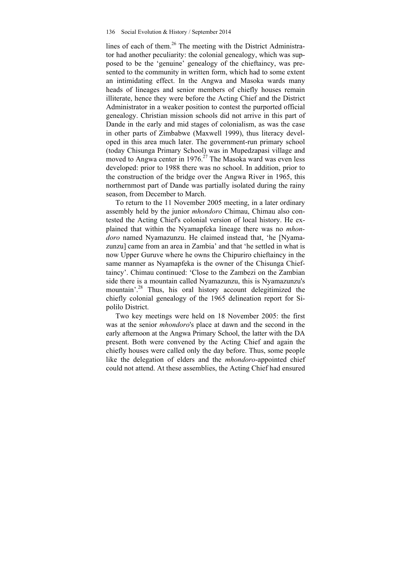lines of each of them.<sup>26</sup> The meeting with the District Administrator had another peculiarity: the colonial genealogy, which was supposed to be the 'genuine' genealogy of the chieftaincy, was presented to the community in written form, which had to some extent an intimidating effect. In the Angwa and Masoka wards many heads of lineages and senior members of chiefly houses remain illiterate, hence they were before the Acting Chief and the District Administrator in a weaker position to contest the purported official genealogy. Christian mission schools did not arrive in this part of Dande in the early and mid stages of colonialism, as was the case in other parts of Zimbabwe (Maxwell 1999), thus literacy developed in this area much later. The government-run primary school (today Chisunga Primary School) was in Mupedzapasi village and moved to Angwa center in  $1976<sup>27</sup>$  The Masoka ward was even less developed: prior to 1988 there was no school. In addition, prior to the construction of the bridge over the Angwa River in 1965, this northernmost part of Dande was partially isolated during the rainy season, from December to March.

To return to the 11 November 2005 meeting, in a later ordinary assembly held by the junior *mhondoro* Chimau, Chimau also contested the Acting Chief's colonial version of local history. He explained that within the Nyamapfeka lineage there was no *mhondoro* named Nyamazunzu. He claimed instead that, 'he [Nyamazunzu] came from an area in Zambia' and that 'he settled in what is now Upper Guruve where he owns the Chipuriro chieftaincy in the same manner as Nyamapfeka is the owner of the Chisunga Chieftaincy'. Chimau continued: 'Close to the Zambezi on the Zambian side there is a mountain called Nyamazunzu, this is Nyamazunzu's mountain'.<sup>28</sup> Thus, his oral history account delegitimized the chiefly colonial genealogy of the 1965 delineation report for Sipolilo District.

Two key meetings were held on 18 November 2005: the first was at the senior *mhondoro*'s place at dawn and the second in the early afternoon at the Angwa Primary School, the latter with the DA present. Both were convened by the Acting Chief and again the chiefly houses were called only the day before. Thus, some people like the delegation of elders and the *mhondoro*-appointed chief could not attend. At these assemblies, the Acting Chief had ensured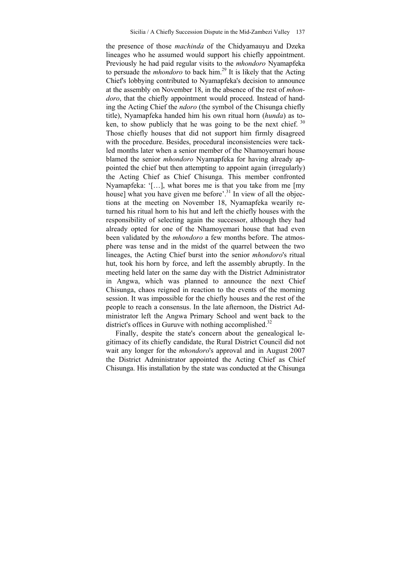the presence of those *machinda* of the Chidyamauyu and Dzeka lineages who he assumed would support his chiefly appointment. Previously he had paid regular visits to the *mhondoro* Nyamapfeka to persuade the *mhondoro* to back him.29 It is likely that the Acting Chief's lobbying contributed to Nyamapfeka's decision to announce at the assembly on November 18, in the absence of the rest of *mhondoro*, that the chiefly appointment would proceed. Instead of handing the Acting Chief the *ndoro* (the symbol of the Chisunga chiefly title), Nyamapfeka handed him his own ritual horn (*hunda*) as token, to show publicly that he was going to be the next chief.<sup>30</sup> Those chiefly houses that did not support him firmly disagreed with the procedure. Besides, procedural inconsistencies were tackled months later when a senior member of the Nhamoyemari house blamed the senior *mhondoro* Nyamapfeka for having already appointed the chief but then attempting to appoint again (irregularly) the Acting Chief as Chief Chisunga. This member confronted Nyamapfeka: '[…], what bores me is that you take from me [my house] what you have given me before'.<sup>31</sup> In view of all the objections at the meeting on November 18, Nyamapfeka wearily returned his ritual horn to his hut and left the chiefly houses with the responsibility of selecting again the successor, although they had already opted for one of the Nhamoyemari house that had even been validated by the *mhondoro* a few months before. The atmosphere was tense and in the midst of the quarrel between the two lineages, the Acting Chief burst into the senior *mhondoro*'s ritual hut, took his horn by force, and left the assembly abruptly. In the meeting held later on the same day with the District Administrator in Angwa, which was planned to announce the next Chief Chisunga, chaos reigned in reaction to the events of the morning session. It was impossible for the chiefly houses and the rest of the people to reach a consensus. In the late afternoon, the District Administrator left the Angwa Primary School and went back to the district's offices in Guruve with nothing accomplished. $32$ 

Finally, despite the state's concern about the genealogical legitimacy of its chiefly candidate, the Rural District Council did not wait any longer for the *mhondoro*'s approval and in August 2007 the District Administrator appointed the Acting Chief as Chief Chisunga. His installation by the state was conducted at the Chisunga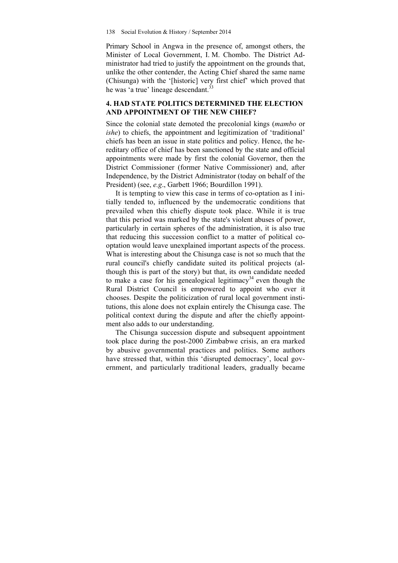Primary School in Angwa in the presence of, amongst others, the Minister of Local Government, I. M. Chombo. The District Administrator had tried to justify the appointment on the grounds that, unlike the other contender, the Acting Chief shared the same name (Chisunga) with the '[historic] very first chief' which proved that he was 'a true' lineage descendant.<sup>33</sup>

#### **4. HAD STATE POLITICS DETERMINED THE ELECTION AND APPOINTMENT OF THE NEW CHIEF?**

Since the colonial state demoted the precolonial kings (*mambo* or *ishe*) to chiefs, the appointment and legitimization of 'traditional' chiefs has been an issue in state politics and policy. Hence, the hereditary office of chief has been sanctioned by the state and official appointments were made by first the colonial Governor, then the District Commissioner (former Native Commissioner) and, after Independence, by the District Administrator (today on behalf of the President) (see, *e.g*., Garbett 1966; Bourdillon 1991).

It is tempting to view this case in terms of co-optation as I initially tended to, influenced by the undemocratic conditions that prevailed when this chiefly dispute took place. While it is true that this period was marked by the state's violent abuses of power, particularly in certain spheres of the administration, it is also true that reducing this succession conflict to a matter of political cooptation would leave unexplained important aspects of the process. What is interesting about the Chisunga case is not so much that the rural council's chiefly candidate suited its political projects (although this is part of the story) but that, its own candidate needed to make a case for his genealogical legitimacy<sup>34</sup> even though the Rural District Council is empowered to appoint who ever it chooses. Despite the politicization of rural local government institutions, this alone does not explain entirely the Chisunga case. The political context during the dispute and after the chiefly appointment also adds to our understanding.

The Chisunga succession dispute and subsequent appointment took place during the post-2000 Zimbabwe crisis, an era marked by abusive governmental practices and politics. Some authors have stressed that, within this 'disrupted democracy', local government, and particularly traditional leaders, gradually became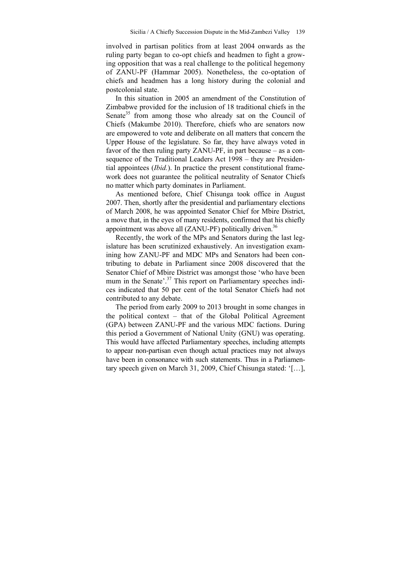involved in partisan politics from at least 2004 onwards as the ruling party began to co-opt chiefs and headmen to fight a growing opposition that was a real challenge to the political hegemony of ZANU-PF (Hammar 2005). Nonetheless, the co-optation of chiefs and headmen has a long history during the colonial and postcolonial state.

In this situation in 2005 an amendment of the Constitution of Zimbabwe provided for the inclusion of 18 traditional chiefs in the Senate<sup>35</sup> from among those who already sat on the Council of Chiefs (Makumbe 2010). Therefore, chiefs who are senators now are empowered to vote and deliberate on all matters that concern the Upper House of the legislature. So far, they have always voted in favor of the then ruling party ZANU-PF, in part because – as a consequence of the Traditional Leaders Act 1998 – they are Presidential appointees (*Ibid.*). In practice the present constitutional framework does not guarantee the political neutrality of Senator Chiefs no matter which party dominates in Parliament.

As mentioned before, Chief Chisunga took office in August 2007. Then, shortly after the presidential and parliamentary elections of March 2008, he was appointed Senator Chief for Mbire District, a move that, in the eyes of many residents, confirmed that his chiefly appointment was above all  $(ZANU-PF)$  politically driven.<sup>36</sup>

Recently, the work of the MPs and Senators during the last legislature has been scrutinized exhaustively. An investigation examining how ZANU-PF and MDC MPs and Senators had been contributing to debate in Parliament since 2008 discovered that the Senator Chief of Mbire District was amongst those 'who have been mum in the Senate'.<sup>37</sup> This report on Parliamentary speeches indices indicated that 50 per cent of the total Senator Chiefs had not contributed to any debate.

The period from early 2009 to 2013 brought in some changes in the political context – that of the Global Political Agreement (GPA) between ZANU-PF and the various MDC factions. During this period a Government of National Unity (GNU) was operating. This would have affected Parliamentary speeches, including attempts to appear non-partisan even though actual practices may not always have been in consonance with such statements. Thus in a Parliamentary speech given on March 31, 2009, Chief Chisunga stated: '[…],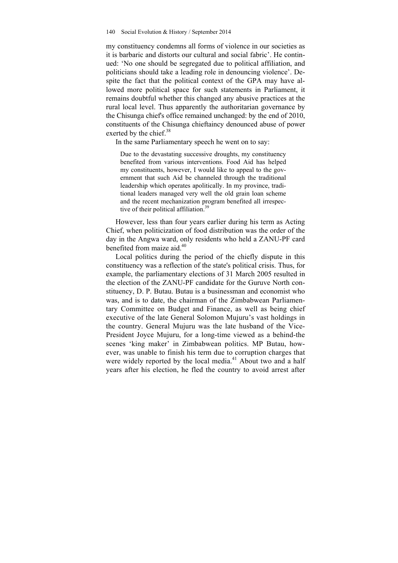my constituency condemns all forms of violence in our societies as it is barbaric and distorts our cultural and social fabric'. He continued: 'No one should be segregated due to political affiliation, and politicians should take a leading role in denouncing violence'. Despite the fact that the political context of the GPA may have allowed more political space for such statements in Parliament, it remains doubtful whether this changed any abusive practices at the rural local level. Thus apparently the authoritarian governance by the Chisunga chief's office remained unchanged: by the end of 2010, constituents of the Chisunga chieftaincy denounced abuse of power exerted by the chief. $38$ 

In the same Parliamentary speech he went on to say:

Due to the devastating successive droughts, my constituency benefited from various interventions. Food Aid has helped my constituents, however, I would like to appeal to the government that such Aid be channeled through the traditional leadership which operates apolitically. In my province, traditional leaders managed very well the old grain loan scheme and the recent mechanization program benefited all irrespective of their political affiliation.<sup>39</sup>

However, less than four years earlier during his term as Acting Chief, when politicization of food distribution was the order of the day in the Angwa ward, only residents who held a ZANU-PF card benefited from maize aid.<sup>40</sup>

Local politics during the period of the chiefly dispute in this constituency was a reflection of the state's political crisis. Thus, for example, the parliamentary elections of 31 March 2005 resulted in the election of the ZANU-PF candidate for the Guruve North constituency, D. P. Butau. Butau is a businessman and economist who was, and is to date, the chairman of the Zimbabwean Parliamentary Committee on Budget and Finance, as well as being chief executive of the late General Solomon Mujuru's vast holdings in the country. General Mujuru was the late husband of the Vice-President Joyce Mujuru, for a long-time viewed as a behind-the scenes 'king maker' in Zimbabwean politics. MP Butau, however, was unable to finish his term due to corruption charges that were widely reported by the local media.<sup>41</sup> About two and a half years after his election, he fled the country to avoid arrest after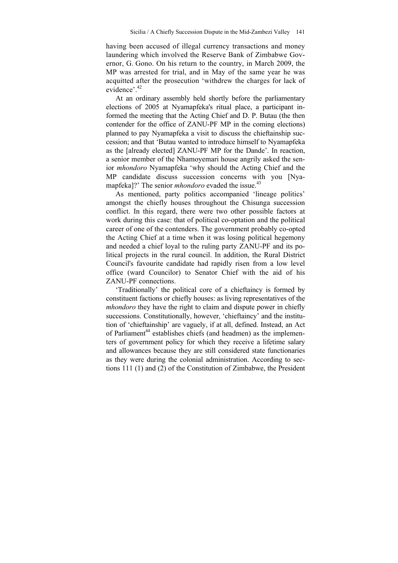having been accused of illegal currency transactions and money laundering which involved the Reserve Bank of Zimbabwe Governor, G. Gono. On his return to the country, in March 2009, the MP was arrested for trial, and in May of the same year he was acquitted after the prosecution 'withdrew the charges for lack of evidence'.<sup>42</sup>

At an ordinary assembly held shortly before the parliamentary elections of 2005 at Nyamapfeka's ritual place, a participant informed the meeting that the Acting Chief and D. P. Butau (the then contender for the office of ZANU-PF MP in the coming elections) planned to pay Nyamapfeka a visit to discuss the chieftainship succession; and that 'Butau wanted to introduce himself to Nyamapfeka as the [already elected] ZANU-PF MP for the Dande'. In reaction, a senior member of the Nhamoyemari house angrily asked the senior *mhondoro* Nyamapfeka 'why should the Acting Chief and the MP candidate discuss succession concerns with you [Nyamapfeka]?' The senior *mhondoro* evaded the issue.<sup>43</sup>

As mentioned, party politics accompanied 'lineage politics' amongst the chiefly houses throughout the Chisunga succession conflict. In this regard, there were two other possible factors at work during this case: that of political co-optation and the political career of one of the contenders. The government probably co-opted the Acting Chief at a time when it was losing political hegemony and needed a chief loyal to the ruling party ZANU-PF and its political projects in the rural council. In addition, the Rural District Council's favourite candidate had rapidly risen from a low level office (ward Councilor) to Senator Chief with the aid of his ZANU-PF connections.

'Traditionally' the political core of a chieftaincy is formed by constituent factions or chiefly houses: as living representatives of the *mhondoro* they have the right to claim and dispute power in chiefly successions. Constitutionally, however, 'chieftaincy' and the institution of 'chieftainship' are vaguely, if at all, defined. Instead, an Act of Parliament<sup>44</sup> establishes chiefs (and headmen) as the implementers of government policy for which they receive a lifetime salary and allowances because they are still considered state functionaries as they were during the colonial administration. According to sections 111 (1) and (2) of the Constitution of Zimbabwe, the President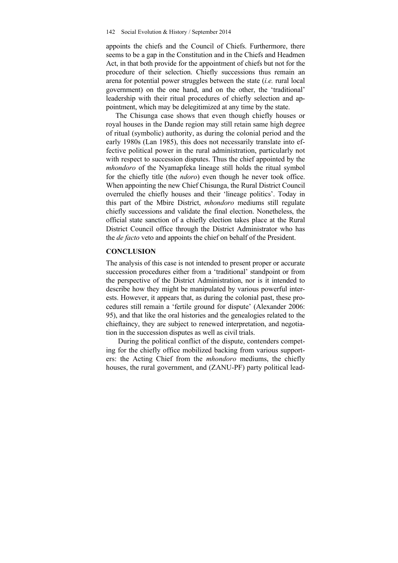appoints the chiefs and the Council of Chiefs. Furthermore, there seems to be a gap in the Constitution and in the Chiefs and Headmen Act, in that both provide for the appointment of chiefs but not for the procedure of their selection. Chiefly successions thus remain an arena for potential power struggles between the state (*i.e.* rural local government) on the one hand, and on the other, the 'traditional' leadership with their ritual procedures of chiefly selection and appointment, which may be delegitimized at any time by the state.

The Chisunga case shows that even though chiefly houses or royal houses in the Dande region may still retain same high degree of ritual (symbolic) authority, as during the colonial period and the early 1980s (Lan 1985), this does not necessarily translate into effective political power in the rural administration, particularly not with respect to succession disputes. Thus the chief appointed by the *mhondoro* of the Nyamapfeka lineage still holds the ritual symbol for the chiefly title (the *ndoro*) even though he never took office. When appointing the new Chief Chisunga, the Rural District Council overruled the chiefly houses and their 'lineage politics'. Today in this part of the Mbire District, *mhondoro* mediums still regulate chiefly successions and validate the final election. Nonetheless, the official state sanction of a chiefly election takes place at the Rural District Council office through the District Administrator who has the *de facto* veto and appoints the chief on behalf of the President.

### **CONCLUSION**

The analysis of this case is not intended to present proper or accurate succession procedures either from a 'traditional' standpoint or from the perspective of the District Administration, nor is it intended to describe how they might be manipulated by various powerful interests. However, it appears that, as during the colonial past, these procedures still remain a 'fertile ground for dispute' (Alexander 2006: 95), and that like the oral histories and the genealogies related to the chieftaincy, they are subject to renewed interpretation, and negotiation in the succession disputes as well as civil trials.

During the political conflict of the dispute, contenders competing for the chiefly office mobilized backing from various supporters: the Acting Chief from the *mhondoro* mediums, the chiefly houses, the rural government, and (ZANU-PF) party political lead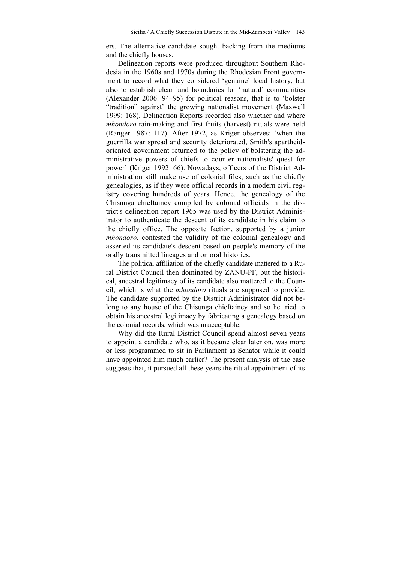ers. The alternative candidate sought backing from the mediums and the chiefly houses.

Delineation reports were produced throughout Southern Rhodesia in the 1960s and 1970s during the Rhodesian Front government to record what they considered 'genuine' local history, but also to establish clear land boundaries for 'natural' communities (Alexander 2006: 94–95) for political reasons, that is to 'bolster "tradition" against' the growing nationalist movement (Maxwell 1999: 168). Delineation Reports recorded also whether and where *mhondoro* rain-making and first fruits (harvest) rituals were held (Ranger 1987: 117). After 1972, as Kriger observes: 'when the guerrilla war spread and security deteriorated, Smith's apartheidoriented government returned to the policy of bolstering the administrative powers of chiefs to counter nationalists' quest for power' (Kriger 1992: 66). Nowadays, officers of the District Administration still make use of colonial files, such as the chiefly genealogies, as if they were official records in a modern civil registry covering hundreds of years. Hence, the genealogy of the Chisunga chieftaincy compiled by colonial officials in the district's delineation report 1965 was used by the District Administrator to authenticate the descent of its candidate in his claim to the chiefly office. The opposite faction, supported by a junior *mhondoro*, contested the validity of the colonial genealogy and asserted its candidate's descent based on people's memory of the orally transmitted lineages and on oral histories.

The political affiliation of the chiefly candidate mattered to a Rural District Council then dominated by ZANU-PF, but the historical, ancestral legitimacy of its candidate also mattered to the Council, which is what the *mhondoro* rituals are supposed to provide. The candidate supported by the District Administrator did not belong to any house of the Chisunga chieftaincy and so he tried to obtain his ancestral legitimacy by fabricating a genealogy based on the colonial records, which was unacceptable.

Why did the Rural District Council spend almost seven years to appoint a candidate who, as it became clear later on, was more or less programmed to sit in Parliament as Senator while it could have appointed him much earlier? The present analysis of the case suggests that, it pursued all these years the ritual appointment of its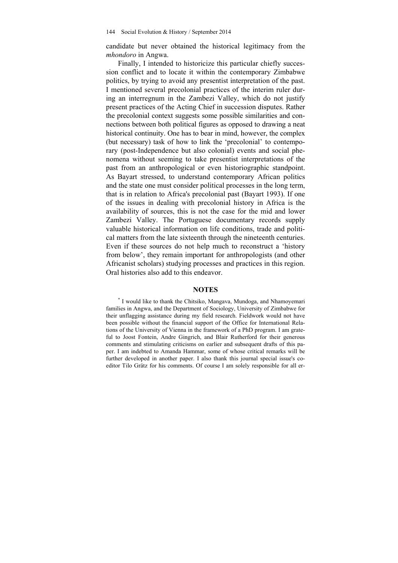candidate but never obtained the historical legitimacy from the *mhondoro* in Angwa.

Finally, I intended to historicize this particular chiefly succession conflict and to locate it within the contemporary Zimbabwe politics, by trying to avoid any presentist interpretation of the past. I mentioned several precolonial practices of the interim ruler during an interregnum in the Zambezi Valley, which do not justify present practices of the Acting Chief in succession disputes. Rather the precolonial context suggests some possible similarities and connections between both political figures as opposed to drawing a neat historical continuity. One has to bear in mind, however, the complex (but necessary) task of how to link the 'precolonial' to contemporary (post-Independence but also colonial) events and social phenomena without seeming to take presentist interpretations of the past from an anthropological or even historiographic standpoint. As Bayart stressed, to understand contemporary African politics and the state one must consider political processes in the long term, that is in relation to Africa's precolonial past (Bayart 1993). If one of the issues in dealing with precolonial history in Africa is the availability of sources, this is not the case for the mid and lower Zambezi Valley. The Portuguese documentary records supply valuable historical information on life conditions, trade and political matters from the late sixteenth through the nineteenth centuries. Even if these sources do not help much to reconstruct a 'history from below', they remain important for anthropologists (and other Africanist scholars) studying processes and practices in this region. Oral histories also add to this endeavor.

#### **NOTES**

\* I would like to thank the Chitsiko, Mangava, Mundoga, and Nhamoyemari families in Angwa, and the Department of Sociology, University of Zimbabwe for their unflagging assistance during my field research. Fieldwork would not have been possible without the financial support of the Office for International Relations of the University of Vienna in the framework of a PhD program. I am grateful to Joost Fontein, Andre Gingrich, and Blair Rutherford for their generous comments and stimulating criticisms on earlier and subsequent drafts of this paper. I am indebted to Amanda Hammar, some of whose critical remarks will be further developed in another paper. I also thank this journal special issue's coeditor Tilo Grätz for his comments. Of course I am solely responsible for all er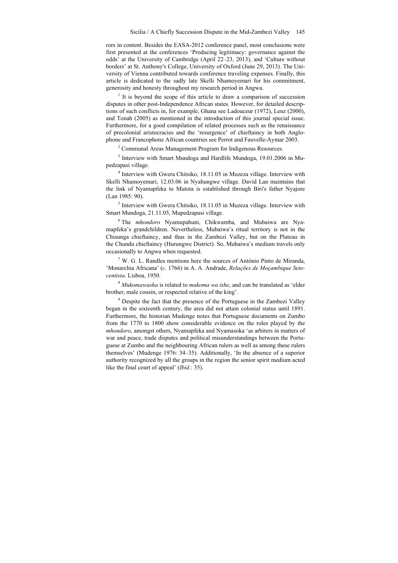rors in content. Besides the EASA-2012 conference panel, most conclusions were first presented at the conferences 'Producing legitimacy: governance against the odds' at the University of Cambridge (April 22–23, 2013), and 'Culture without borders' at St. Anthony's College, University of Oxford (June 29, 2013). The University of Vienna contributed towards conference traveling expenses. Finally, this article is dedicated to the sadly late Skelli Nhamoyemari for his commitment, generosity and honesty throughout my research period in Angwa.

<sup>1</sup> It is beyond the scope of this article to draw a comparison of succession disputes in other post-Independence African states. However, for detailed descriptions of such conflicts in, for example, Ghana see Ladouceur (1972), Lenz (2000), and Tonah (2005) as mentioned in the introduction of this journal special issue. Furthermore, for a good compilation of related processes such as the renaissance of precolonial aristocracies and the 'resurgence' of chieftaincy in both Anglophone and Francophone African countries see Perrot and Fauvelle-Aymar 2003.

<sup>2</sup> Communal Areas Management Program for Indigenous Resources.

<sup>3</sup> Interview with Smart Mundoga and Hardlife Mundoga, 19.01.2006 in Mupedzapasi village.

4 Interview with Gwera Chitsiko, 18.11.05 in Muzeza village. Interview with Skelli Nhamoyemari, 12.03.06 in Nyahungwe village. David Lan maintains that the link of Nyamapfeka to Mutota is established through Biri's father Nyajore (Lan 1985: 90).

<sup>5</sup> Interview with Gwera Chitsiko, 18.11.05 in Muzeza village. Interview with Smart Mundoga, 21.11.05, Mupedzapasi village.

6 The *mhondoro* Nyamupahuni, Chikwamba, and Mubaiwa are Nyamapfeka's grandchildren. Nevertheless, Mubaiwa's ritual territory is not in the Chisunga chieftaincy, and thus in the Zambezi Valley, but on the Plateau in the Chundu chieftaincy (Hurungwe District). So, Mubaiwa's medium travels only occasionally to Angwa when requested.

7 W. G. L. Randles mentions here the sources of António Pinto de Miranda, 'Monarchia Africana' (*c*. 1766) in A. A. Andrade, *Relações de Moçambique Setecentista*. Lisboa, 1950.

<sup>8</sup> *Mukomawasha* is related to *mukoma wa ishe*, and can be translated as 'elder brother, male cousin, or respected relative of the king'.

<sup>9</sup> Despite the fact that the presence of the Portuguese in the Zambezi Valley began in the sixteenth century, the area did not attain colonial status until 1891. Furthermore, the historian Mudenge notes that Portuguese documents on Zumbo from the 1770 to 1800 show considerable evidence on the roles played by the *mhondoro*, amongst others, Nyamapfeka and Nyamasoka 'as arbiters in matters of war and peace, trade disputes and political misunderstandings between the Portuguese at Zumbo and the neighbouring African rulers as well as among these rulers themselves' (Mudenge 1976: 34–35). Additionally, 'In the absence of a superior authority recognized by all the groups in the region the senior spirit medium acted like the final court of appeal' (*Ibid.*: 35).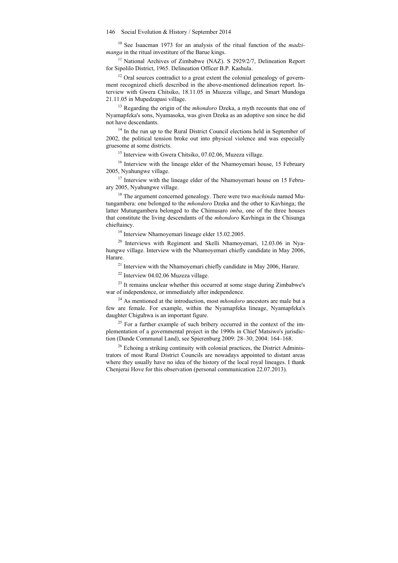10 See Isaacman 1973 for an analysis of the ritual function of the *madzimanga* in the ritual investiture of the Barue kings.

<sup>11</sup> National Archives of Zimbabwe (NAZ). S 2929/2/7, Delineation Report for Sipolilo District, 1965. Delineation Officer B.P. Kashula.

 $12$  Oral sources contradict to a great extent the colonial genealogy of government recognized chiefs described in the above-mentioned delineation report. Interview with Gwera Chitsiko, 18.11.05 in Muzeza village, and Smart Mundoga 21.11.05 in Mupedzapasi village.

<sup>13</sup> Regarding the origin of the *mhondoro* Dzeka, a myth recounts that one of Nyamapfeka's sons, Nyamasoka, was given Dzeka as an adoptive son since he did not have descendants.

<sup>14</sup> In the run up to the Rural District Council elections held in September of 2002, the political tension broke out into physical violence and was especially gruesome at some districts.

<sup>15</sup> Interview with Gwera Chitsiko, 07.02.06, Muzeza village.

<sup>16</sup> Interview with the lineage elder of the Nhamoyemari house, 15 February 2005, Nyahungwe village.

 $17$  Interview with the lineage elder of the Nhamovemari house on 15 February 2005, Nyahungwe village.

18 The argument concerned genealogy. There were two *machinda* named Mutungambera: one belonged to the *mhondoro* Dzeka and the other to Kavhinga; the latter Mutungambera belonged to the Chimusaro *imba*, one of the three houses that constitute the living descendants of the *mhondoro* Kavhinga in the Chisunga chieftaincy.

19 Interview Nhamoyemari lineage elder 15.02.2005.

<sup>20</sup> Interviews with Regiment and Skelli Nhamoyemari, 12.03.06 in Nyahungwe village. Interview with the Nhamoyemari chiefly candidate in May 2006. Harare.

 $21$  Interview with the Nhamoyemari chiefly candidate in May 2006, Harare.

22 Interview 04.02.06 Muzeza village.

<sup>23</sup> It remains unclear whether this occurred at some stage during Zimbabwe's war of independence, or immediately after independence.

24 As mentioned at the introduction, most *mhondoro* ancestors are male but a few are female. For example, within the Nyamapfeka lineage, Nyamapfeka's daughter Chiguhwa is an important figure.

 $25$  For a further example of such bribery occurred in the context of the implementation of a governmental project in the 1990s in Chief Matsiwo's jurisdiction (Dande Communal Land), see Spierenburg 2009: 28–30; 2004: 164–168.

 $26$  Echoing a striking continuity with colonial practices, the District Administrators of most Rural District Councils are nowadays appointed to distant areas where they usually have no idea of the history of the local royal lineages. I thank Chenjerai Hove for this observation (personal communication 22.07.2013).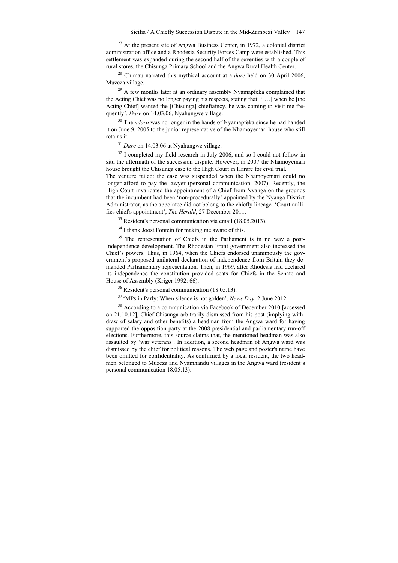$27$  At the present site of Angwa Business Center, in 1972, a colonial district administration office and a Rhodesia Security Forces Camp were established. This settlement was expanded during the second half of the seventies with a couple of rural stores, the Chisunga Primary School and the Angwa Rural Health Center.

28 Chimau narrated this mythical account at a *dare* held on 30 April 2006, Muzeza village.

 $29$  A few months later at an ordinary assembly Nyamapfeka complained that the Acting Chief was no longer paying his respects, stating that: '[…] when he [the Acting Chief] wanted the [Chisunga] chieftaincy, he was coming to visit me frequently'. *Dare* on 14.03.06, Nyahungwe village.

30 The *ndoro* was no longer in the hands of Nyamapfeka since he had handed it on June 9, 2005 to the junior representative of the Nhamoyemari house who still retains it.

<sup>31</sup> *Dare* on 14.03.06 at Nyahungwe village.

<sup>32</sup> I completed my field research in July 2006, and so I could not follow in situ the aftermath of the succession dispute. However, in 2007 the Nhamoyemari house brought the Chisunga case to the High Court in Harare for civil trial.

The venture failed: the case was suspended when the Nhamoyemari could no longer afford to pay the lawyer (personal communication, 2007). Recently, the High Court invalidated the appointment of a Chief from Nyanga on the grounds that the incumbent had been 'non-procedurally' appointed by the Nyanga District Administrator, as the appointee did not belong to the chiefly lineage. 'Court nullifies chief's appointment', *The Herald*, 27 December 2011.

<sup>33</sup> Resident's personal communication via email (18.05.2013).

<sup>34</sup> I thank Joost Fontein for making me aware of this.

<sup>35</sup> The representation of Chiefs in the Parliament is in no way a post-Independence development. The Rhodesian Front government also increased the Chief's powers. Thus, in 1964, when the Chiefs endorsed unanimously the government's proposed unilateral declaration of independence from Britain they demanded Parliamentary representation. Then, in 1969, after Rhodesia had declared its independence the constitution provided seats for Chiefs in the Senate and House of Assembly (Kriger 1992: 66).

36 Resident's personal communication (18.05.13).

37 'MPs in Parly: When silence is not golden', *News Day*, 2 June 2012.

<sup>38</sup> According to a communication via Facebook of December 2010 [accessed] on 21.10.12], Chief Chisunga arbitrarily dismissed from his post (implying withdraw of salary and other benefits) a headman from the Angwa ward for having supported the opposition party at the 2008 presidential and parliamentary run-off elections. Furthermore, this source claims that, the mentioned headman was also assaulted by 'war veterans'. In addition, a second headman of Angwa ward was dismissed by the chief for political reasons. The web page and poster's name have been omitted for confidentiality. As confirmed by a local resident, the two headmen belonged to Muzeza and Nyamhandu villages in the Angwa ward (resident's personal communication 18.05.13).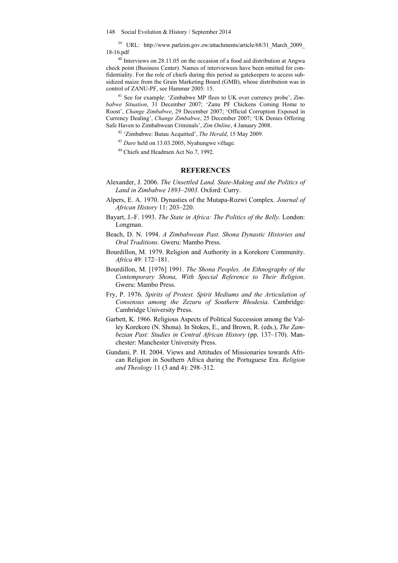148 Social Evolution & History / September 2014

39 URL: http://www.parlzim.gov.zw/attachments/article/68/31\_March\_2009\_ 18-16.pdf

40 Interviews on 28.11.05 on the occasion of a food aid distribution at Angwa check point (Business Center). Names of interviewees have been omitted for confidentiality. For the role of chiefs during this period as gatekeepers to access subsidized maize from the Grain Marketing Board (GMB), whose distribution was in control of ZANU-PF, see Hammar 2005: 15.

41 See for example: 'Zimbabwe MP flees to UK over currency probe', *Zimbabwe Situation*, 31 December 2007; 'Zanu PF Chickens Coming Home to Roost', *Change Zimbabwe*, 29 December 2007; 'Official Corruption Exposed in Currency Dealing', *Change Zimbabwe*, 25 December 2007; 'UK Denies Offering Safe Haven to Zimbabwean Criminals', *Zim Online*, 4 January 2008.

42 'Zimbabwe: Butau Acquitted', *The Herald*, 15 May 2009.

<sup>43</sup> *Dare* held on 13.03.2005, Nyahungwe village.

<sup>44</sup> Chiefs and Headmen Act No.7, 1992.

#### **REFERENCES**

- Alexander, J. 2006. *The Unsettled Land. State-Making and the Politics of Land in Zimbabwe 1893–2003.* Oxford: Curry.
- Alpers, E. A. 1970. Dynasties of the Mutapa-Rozwi Complex. *Journal of African History* 11: 203–220.
- Bayart, J.-F. 1993. *The State in Africa: The Politics of the Belly*. London: Longman.
- Beach, D. N. 1994. *A Zimbabwean Past. Shona Dynastic Histories and Oral Traditions*. Gweru: Mambo Press.
- Bourdillon, M. 1979. Religion and Authority in a Korekore Community. *Africa* 49: 172–181.
- Bourdillon, M. [1976] 1991. *The Shona Peoples. An Ethnography of the Contemporary Shona, With Special Reference to Their Religion*. Gweru: Mambo Press.
- Fry, P. 1976. *Spirits of Protest. Spirit Mediums and the Articulation of Consensus among the Zezuru of Southern Rhodesia*. Cambridge: Cambridge University Press.
- Garbett, K. 1966. Religious Aspects of Political Succession among the Valley Korekore (N. Shona). In Stokes, E., and Brown, R. (eds.), *The Zambezian Past: Studies in Central African History* (pp. 137–170). Manchester: Manchester University Press.
- Gundani, P. H. 2004. Views and Attitudes of Missionaries towards African Religion in Southern Africa during the Portuguese Era. *Religion and Theology* 11 (3 and 4): 298–312.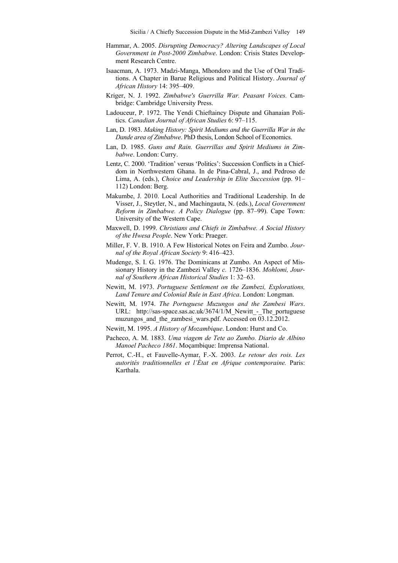- Hammar, A. 2005. *Disrupting Democracy? Altering Landscapes of Local Government in Post-2000 Zimbabwe*. London: Crisis States Development Research Centre.
- Isaacman, A. 1973. Madzi-Manga, Mhondoro and the Use of Oral Traditions. A Chapter in Barue Religious and Political History. *Journal of African History* 14: 395–409.
- Kriger, N. J. 1992. *Zimbabwe's Guerrilla War. Peasant Voices.* Cambridge: Cambridge University Press.
- Ladouceur, P. 1972. The Yendi Chieftaincy Dispute and Ghanaian Politics. *Canadian Journal of African Studies* 6: 97–115.
- Lan, D. 1983. *Making History: Spirit Mediums and the Guerrilla War in the Dande area of Zimbabwe*. PhD thesis, London School of Economics.
- Lan, D. 1985. *Guns and Rain. Guerrillas and Spirit Mediums in Zimbabwe*. London: Curry.
- Lentz, C. 2000. 'Tradition' versus 'Politics': Succession Conflicts in a Chiefdom in Northwestern Ghana. In de Pina-Cabral, J., and Pedroso de Lima, A. (eds.), *Choice and Leadership in Elite Succession* (pp. 91– 112) London: Berg.
- Makumbe, J. 2010. Local Authorities and Traditional Leadership. In de Visser, J., Steytler, N., and Machingauta, N. (eds.), *Local Government Reform in Zimbabwe. A Policy Dialogue* (pp. 87–99). Cape Town: University of the Western Cape.
- Maxwell, D. 1999. *Christians and Chiefs in Zimbabwe. A Social History of the Hwesa People*. New York: Praeger.
- Miller, F. V. B. 1910. A Few Historical Notes on Feira and Zumbo. *Journal of the Royal African Society* 9: 416–423.
- Mudenge, S. I. G. 1976. The Dominicans at Zumbo. An Aspect of Missionary History in the Zambezi Valley *c.* 1726–1836. *Mohlomi, Journal of Southern African Historical Studies* 1: 32–63.
- Newitt, M. 1973. *Portuguese Settlement on the Zambezi, Explorations, Land Tenure and Colonial Rule in East Africa*. London: Longman.
- Newitt, M. 1974. *The Portuguese Muzungos and the Zambesi Wars*. URL: http://sas-space.sas.ac.uk/3674/1/M\_Newitt\_-\_The\_portuguese muzungos\_and\_the\_zambesi\_wars.pdf. Accessed on 03.12.2012.
- Newitt, M. 1995. *A History of Mozambique*. London: Hurst and Co.
- Pacheco, A. M. 1883. *Uma viagem de Tete ao Zumbo. Diario de Albino Manoel Pacheco 1861*. Moçambique: Imprensa National.
- Perrot, C.-H., et Fauvelle-Aymar, F.-X. 2003. *Le retour des rois. Les autorités traditionnelles et l'État en Afrique contemporaine.* Paris: Karthala.